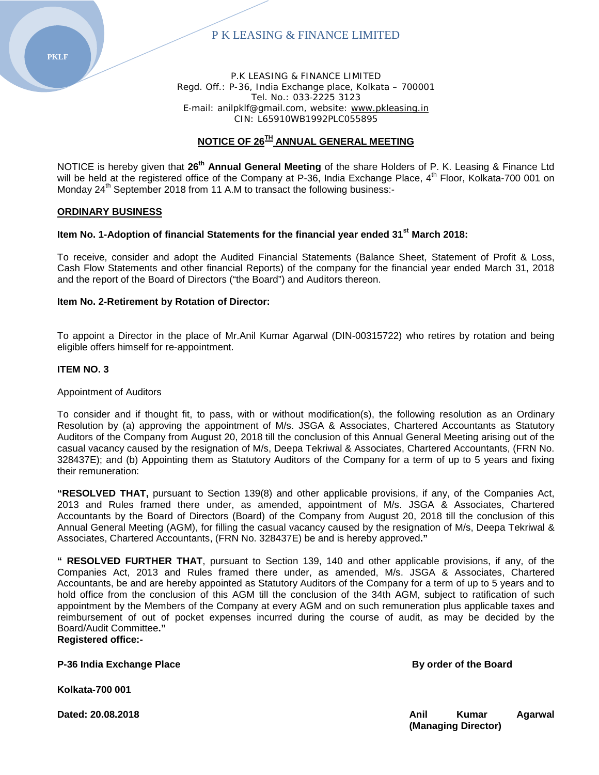

P.K LEASING & FINANCE LIMITED Regd. Off.: P-36, India Exchange place, Kolkata – 700001 Tel. No.: 033‐2225 3123 E-mail: anilpklf@gmail.com, website: [www.pkleasing.in](http://www.pkleasing.in/) CIN: L65910WB1992PLC055895

# **NOTICE OF 26TH ANNUAL GENERAL MEETING**

NOTICE is hereby given that **26th Annual General Meeting** of the share Holders of P. K. Leasing & Finance Ltd will be held at the registered office of the Company at P-36, India Exchange Place, 4<sup>th</sup> Floor, Kolkata-700 001 on Monday 24<sup>th</sup> September 2018 from 11 A.M to transact the following business:-

#### **ORDINARY BUSINESS**

#### **Item No. 1-Adoption of financial Statements for the financial year ended 31st March 2018:**

To receive, consider and adopt the Audited Financial Statements (Balance Sheet, Statement of Profit & Loss, Cash Flow Statements and other financial Reports) of the company for the financial year ended March 31, 2018 and the report of the Board of Directors ("the Board") and Auditors thereon.

#### **Item No. 2-Retirement by Rotation of Director:**

To appoint a Director in the place of Mr.Anil Kumar Agarwal (DIN-00315722) who retires by rotation and being eligible offers himself for re-appointment.

#### **ITEM NO. 3**

#### Appointment of Auditors

To consider and if thought fit, to pass, with or without modification(s), the following resolution as an Ordinary Resolution by (a) approving the appointment of M/s. JSGA & Associates, Chartered Accountants as Statutory Auditors of the Company from August 20, 2018 till the conclusion of this Annual General Meeting arising out of the casual vacancy caused by the resignation of M/s, Deepa Tekriwal & Associates, Chartered Accountants, (FRN No. 328437E); and (b) Appointing them as Statutory Auditors of the Company for a term of up to 5 years and fixing their remuneration:

**"RESOLVED THAT,** pursuant to Section 139(8) and other applicable provisions, if any, of the Companies Act, 2013 and Rules framed there under, as amended, appointment of M/s. JSGA & Associates, Chartered Accountants by the Board of Directors (Board) of the Company from August 20, 2018 till the conclusion of this Annual General Meeting (AGM), for filling the casual vacancy caused by the resignation of M/s, Deepa Tekriwal & Associates, Chartered Accountants, (FRN No. 328437E) be and is hereby approved**."**

**" RESOLVED FURTHER THAT**, pursuant to Section 139, 140 and other applicable provisions, if any, of the Companies Act, 2013 and Rules framed there under, as amended, M/s. JSGA & Associates, Chartered Accountants, be and are hereby appointed as Statutory Auditors of the Company for a term of up to 5 years and to hold office from the conclusion of this AGM till the conclusion of the 34th AGM, subject to ratification of such appointment by the Members of the Company at every AGM and on such remuneration plus applicable taxes and reimbursement of out of pocket expenses incurred during the course of audit, as may be decided by the Board/Audit Committee**."**

# **Registered office:-**

**P-36 India Exchange Place By order of the Board** 

**Kolkata-700 001**

**Dated: 20.08.2018 Anil Agarwal 20.08.2018 Anil Agarwal Agarwal Agarwal Agarwal Agarwal Agarwal Agarwal Agarwal Agarwal Agarwal Agarwal Agarwal Agarwal Agarwal Agarwal Agarwal Agarwal Agarwal Agarwal Agarwal Agarwal Ag (Managing Director)**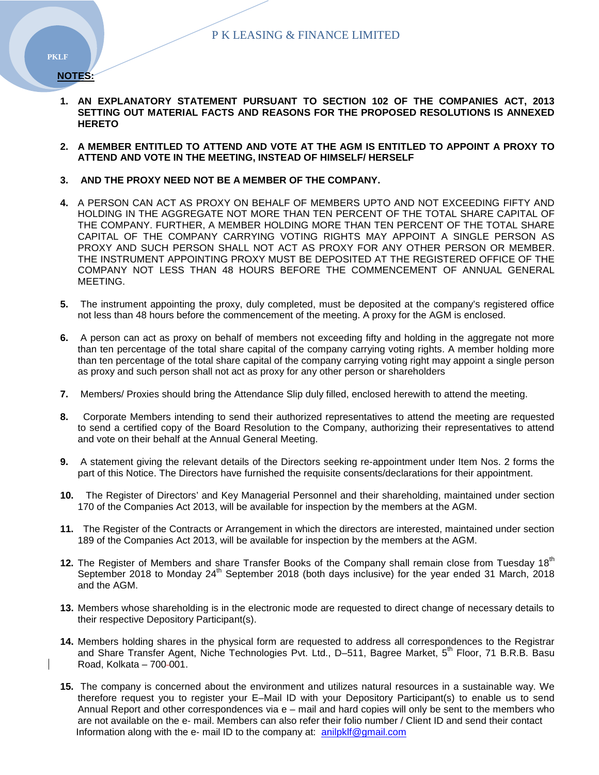**NOTES:**

- **1. AN EXPLANATORY STATEMENT PURSUANT TO SECTION 102 OF THE COMPANIES ACT, 2013 SETTING OUT MATERIAL FACTS AND REASONS FOR THE PROPOSED RESOLUTIONS IS ANNEXED HERETO**
- **2. A MEMBER ENTITLED TO ATTEND AND VOTE AT THE AGM IS ENTITLED TO APPOINT A PROXY TO ATTEND AND VOTE IN THE MEETING, INSTEAD OF HIMSELF/ HERSELF**
- **3. AND THE PROXY NEED NOT BE A MEMBER OF THE COMPANY.**
- **4.** A PERSON CAN ACT AS PROXY ON BEHALF OF MEMBERS UPTO AND NOT EXCEEDING FIFTY AND HOLDING IN THE AGGREGATE NOT MORE THAN TEN PERCENT OF THE TOTAL SHARE CAPITAL OF THE COMPANY. FURTHER, A MEMBER HOLDING MORE THAN TEN PERCENT OF THE TOTAL SHARE CAPITAL OF THE COMPANY CARRYING VOTING RIGHTS MAY APPOINT A SINGLE PERSON AS PROXY AND SUCH PERSON SHALL NOT ACT AS PROXY FOR ANY OTHER PERSON OR MEMBER. THE INSTRUMENT APPOINTING PROXY MUST BE DEPOSITED AT THE REGISTERED OFFICE OF THE COMPANY NOT LESS THAN 48 HOURS BEFORE THE COMMENCEMENT OF ANNUAL GENERAL MEETING.
- **5.** The instrument appointing the proxy, duly completed, must be deposited at the company's registered office not less than 48 hours before the commencement of the meeting. A proxy for the AGM is enclosed.
- **6.** A person can act as proxy on behalf of members not exceeding fifty and holding in the aggregate not more than ten percentage of the total share capital of the company carrying voting rights. A member holding more than ten percentage of the total share capital of the company carrying voting right may appoint a single person as proxy and such person shall not act as proxy for any other person or shareholders
- **7.** Members/ Proxies should bring the Attendance Slip duly filled, enclosed herewith to attend the meeting.
- **8.** Corporate Members intending to send their authorized representatives to attend the meeting are requested to send a certified copy of the Board Resolution to the Company, authorizing their representatives to attend and vote on their behalf at the Annual General Meeting.
- **9.** A statement giving the relevant details of the Directors seeking re-appointment under Item Nos. 2 forms the part of this Notice. The Directors have furnished the requisite consents/declarations for their appointment.
- **10.** The Register of Directors' and Key Managerial Personnel and their shareholding, maintained under section 170 of the Companies Act 2013, will be available for inspection by the members at the AGM.
- **11.** The Register of the Contracts or Arrangement in which the directors are interested, maintained under section 189 of the Companies Act 2013, will be available for inspection by the members at the AGM.
- **12.** The Register of Members and share Transfer Books of the Company shall remain close from Tuesday 18<sup>th</sup> September 2018 to Monday 24<sup>th</sup> September 2018 (both days inclusive) for the year ended 31 March, 2018 and the AGM.
- **13.** Members whose shareholding is in the electronic mode are requested to direct change of necessary details to their respective Depository Participant(s).
- **14.** Members holding shares in the physical form are requested to address all correspondences to the Registrar and Share Transfer Agent, Niche Technologies Pvt. Ltd., D–511, Bagree Market, 5<sup>th</sup> Floor, 71 B.R.B. Basu Road, Kolkata – 700-001.
- **15.** The company is concerned about the environment and utilizes natural resources in a sustainable way. We therefore request you to register your E–Mail ID with your Depository Participant(s) to enable us to send Annual Report and other correspondences via e – mail and hard copies will only be sent to the members who are not available on the e‐ mail. Members can also refer their folio number / Client ID and send their contact Information along with the e- mail ID to the company at: [anilpklf@gmail.com](mailto:anilpklf@gmail.com)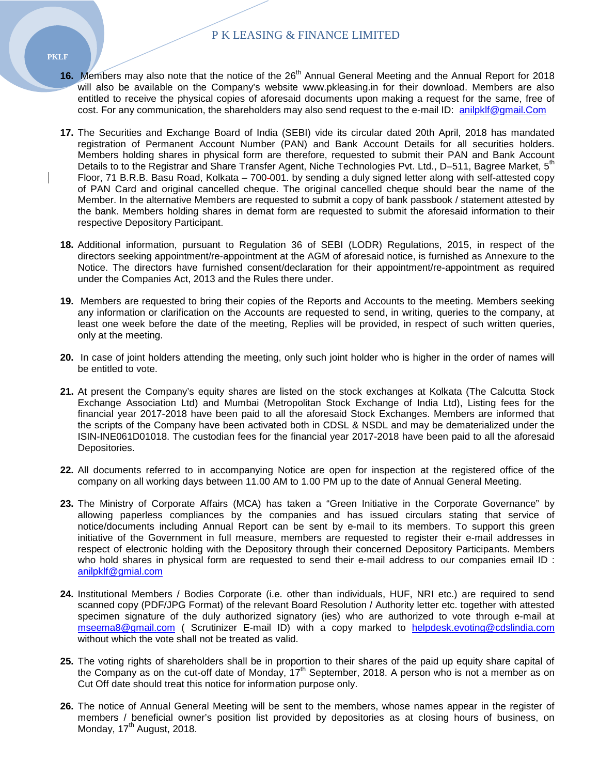- 16. Members may also note that the notice of the 26<sup>th</sup> Annual General Meeting and the Annual Report for 2018 will also be available on the Company's website www.pkleasing.in for their download. Members are also entitled to receive the physical copies of aforesaid documents upon making a request for the same, free of cost. For any communication, the shareholders may also send request to the e-mail ID: [anilpklf@gmail.Com](mailto:anilpklf@gmail.Com)
- **17.** The Securities and Exchange Board of India (SEBI) vide its circular dated 20th April, 2018 has mandated registration of Permanent Account Number (PAN) and Bank Account Details for all securities holders. Members holding shares in physical form are therefore, requested to submit their PAN and Bank Account Details to to the Registrar and Share Transfer Agent, Niche Technologies Pvt. Ltd., D–511, Bagree Market, 5<sup>th</sup> Floor, 71 B.R.B. Basu Road, Kolkata – 700-001. by sending a duly signed letter along with self-attested copy of PAN Card and original cancelled cheque. The original cancelled cheque should bear the name of the Member. In the alternative Members are requested to submit a copy of bank passbook / statement attested by the bank. Members holding shares in demat form are requested to submit the aforesaid information to their respective Depository Participant.
- **18.** Additional information, pursuant to Regulation 36 of SEBI (LODR) Regulations, 2015, in respect of the directors seeking appointment/re-appointment at the AGM of aforesaid notice, is furnished as Annexure to the Notice. The directors have furnished consent/declaration for their appointment/re-appointment as required under the Companies Act, 2013 and the Rules there under.
- **19.** Members are requested to bring their copies of the Reports and Accounts to the meeting. Members seeking any information or clarification on the Accounts are requested to send, in writing, queries to the company, at least one week before the date of the meeting, Replies will be provided, in respect of such written queries, only at the meeting.
- **20.** In case of joint holders attending the meeting, only such joint holder who is higher in the order of names will be entitled to vote.
- **21.** At present the Company's equity shares are listed on the stock exchanges at Kolkata (The Calcutta Stock Exchange Association Ltd) and Mumbai (Metropolitan Stock Exchange of India Ltd), Listing fees for the financial year 2017-2018 have been paid to all the aforesaid Stock Exchanges. Members are informed that the scripts of the Company have been activated both in CDSL & NSDL and may be dematerialized under the ISIN-INE061D01018. The custodian fees for the financial year 2017-2018 have been paid to all the aforesaid Depositories.
- **22.** All documents referred to in accompanying Notice are open for inspection at the registered office of the company on all working days between 11.00 AM to 1.00 PM up to the date of Annual General Meeting.
- **23.** The Ministry of Corporate Affairs (MCA) has taken a "Green Initiative in the Corporate Governance" by allowing paperless compliances by the companies and has issued circulars stating that service of notice/documents including Annual Report can be sent by e-mail to its members. To support this green initiative of the Government in full measure, members are requested to register their e-mail addresses in respect of electronic holding with the Depository through their concerned Depository Participants. Members who hold shares in physical form are requested to send their e-mail address to our companies email ID : [anilpklf@gmial.com](mailto:anilpklf@gmial.com)
- **24.** Institutional Members / Bodies Corporate (i.e. other than individuals, HUF, NRI etc.) are required to send scanned copy (PDF/JPG Format) of the relevant Board Resolution / Authority letter etc. together with attested specimen signature of the duly authorized signatory (ies) who are authorized to vote through e-mail at [mseema8@gmail.com](mailto:mseema8@gmail.com) ( Scrutinizer E-mail ID) with a copy marked to [helpdesk.evoting@cdslindia.com](mailto:helpdesk.evoting@cdslindia.com)  without which the vote shall not be treated as valid.
- **25.** The voting rights of shareholders shall be in proportion to their shares of the paid up equity share capital of the Company as on the cut-off date of Monday,  $17<sup>th</sup>$  September, 2018. A person who is not a member as on Cut Off date should treat this notice for information purpose only.
- **26.** The notice of Annual General Meeting will be sent to the members, whose names appear in the register of members / beneficial owner's position list provided by depositories as at closing hours of business, on  $M$ onday,  $17<sup>th</sup>$  August, 2018.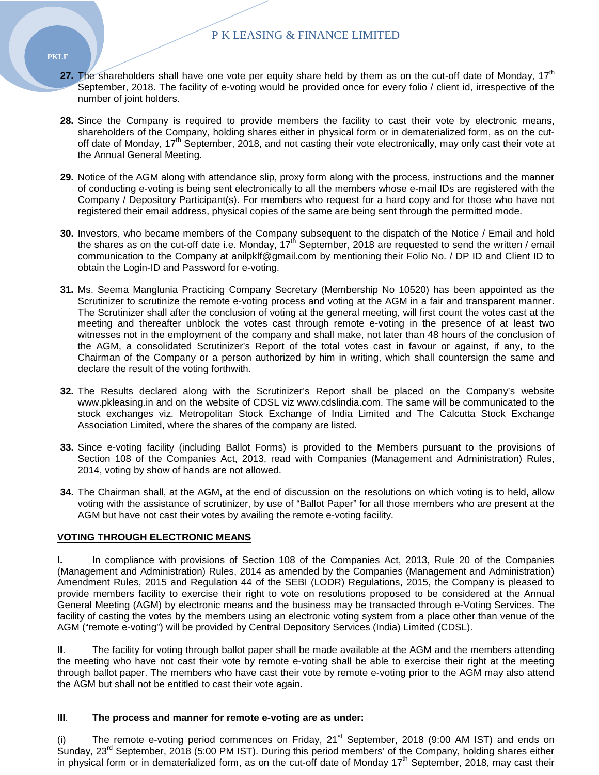- **27.** The shareholders shall have one vote per equity share held by them as on the cut-off date of Monday, 17<sup>th</sup> September, 2018. The facility of e-voting would be provided once for every folio / client id, irrespective of the number of joint holders.
- **28.** Since the Company is required to provide members the facility to cast their vote by electronic means, shareholders of the Company, holding shares either in physical form or in dematerialized form, as on the cutoff date of Monday,  $17<sup>th</sup>$  September, 2018, and not casting their vote electronically, may only cast their vote at the Annual General Meeting.
- **29.** Notice of the AGM along with attendance slip, proxy form along with the process, instructions and the manner of conducting e-voting is being sent electronically to all the members whose e-mail IDs are registered with the Company / Depository Participant(s). For members who request for a hard copy and for those who have not registered their email address, physical copies of the same are being sent through the permitted mode.
- **30.** Investors, who became members of the Company subsequent to the dispatch of the Notice / Email and hold the shares as on the cut-off date i.e. Monday,  $17<sup>th</sup>$  September, 2018 are requested to send the written / email communication to the Company at anilpklf@gmail.com by mentioning their Folio No. / DP ID and Client ID to obtain the Login-ID and Password for e-voting.
- **31.** Ms. Seema Manglunia Practicing Company Secretary (Membership No 10520) has been appointed as the Scrutinizer to scrutinize the remote e-voting process and voting at the AGM in a fair and transparent manner. The Scrutinizer shall after the conclusion of voting at the general meeting, will first count the votes cast at the meeting and thereafter unblock the votes cast through remote e-voting in the presence of at least two witnesses not in the employment of the company and shall make, not later than 48 hours of the conclusion of the AGM, a consolidated Scrutinizer's Report of the total votes cast in favour or against, if any, to the Chairman of the Company or a person authorized by him in writing, which shall countersign the same and declare the result of the voting forthwith.
- **32.** The Results declared along with the Scrutinizer's Report shall be placed on the Company's website www.pkleasing.in and on the website of CDSL viz www.cdslindia.com. The same will be communicated to the stock exchanges viz. Metropolitan Stock Exchange of India Limited and The Calcutta Stock Exchange Association Limited, where the shares of the company are listed.
- **33.** Since e-voting facility (including Ballot Forms) is provided to the Members pursuant to the provisions of Section 108 of the Companies Act, 2013, read with Companies (Management and Administration) Rules, 2014, voting by show of hands are not allowed.
- **34.** The Chairman shall, at the AGM, at the end of discussion on the resolutions on which voting is to held, allow voting with the assistance of scrutinizer, by use of "Ballot Paper" for all those members who are present at the AGM but have not cast their votes by availing the remote e-voting facility.

#### **VOTING THROUGH ELECTRONIC MEANS**

**I.** In compliance with provisions of Section 108 of the Companies Act, 2013, Rule 20 of the Companies (Management and Administration) Rules, 2014 as amended by the Companies (Management and Administration) Amendment Rules, 2015 and Regulation 44 of the SEBI (LODR) Regulations, 2015, the Company is pleased to provide members facility to exercise their right to vote on resolutions proposed to be considered at the Annual General Meeting (AGM) by electronic means and the business may be transacted through e-Voting Services. The facility of casting the votes by the members using an electronic voting system from a place other than venue of the AGM ("remote e-voting") will be provided by Central Depository Services (India) Limited (CDSL).

**II**. The facility for voting through ballot paper shall be made available at the AGM and the members attending the meeting who have not cast their vote by remote e-voting shall be able to exercise their right at the meeting through ballot paper. The members who have cast their vote by remote e-voting prior to the AGM may also attend the AGM but shall not be entitled to cast their vote again.

#### **III**. **The process and manner for remote e-voting are as under:**

The remote e-voting period commences on Friday, 21<sup>st</sup> September, 2018 (9:00 AM IST) and ends on Sunday, 23<sup>rd</sup> September, 2018 (5:00 PM IST). During this period members' of the Company, holding shares either in physical form or in dematerialized form, as on the cut-off date of Monday  $17<sup>th</sup>$  September, 2018, may cast their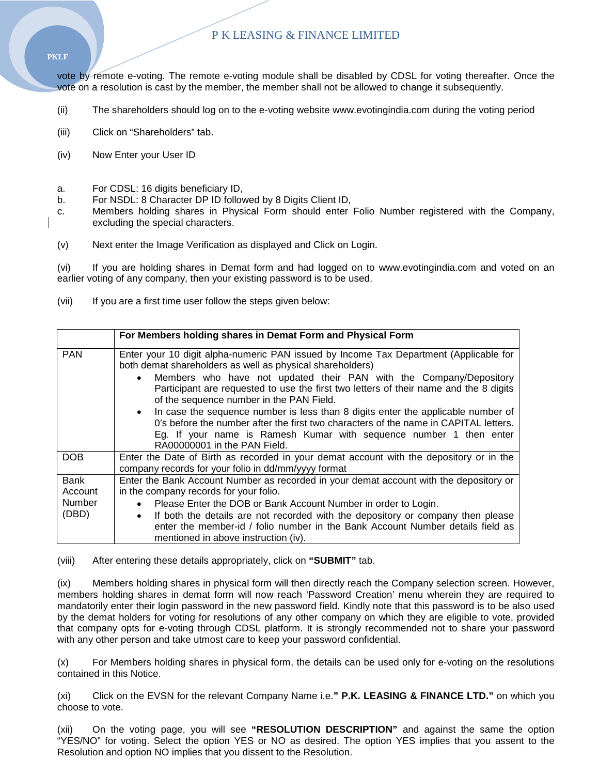**PKLF**

vote by remote e-voting. The remote e-voting module shall be disabled by CDSL for voting thereafter. Once the vote on a resolution is cast by the member, the member shall not be allowed to change it subsequently.

- (ii) The shareholders should log on to the e-voting website www.evotingindia.com during the voting period
- (iii) Click on "Shareholders" tab.
- (iv) Now Enter your User ID
- a. For CDSL: 16 digits beneficiary ID,
- b. For NSDL: 8 Character DP ID followed by 8 Digits Client ID,
- c. Members holding shares in Physical Form should enter Folio Number registered with the Company, excluding the special characters.
- (v) Next enter the Image Verification as displayed and Click on Login.

(vi) If you are holding shares in Demat form and had logged on to www.evotingindia.com and voted on an earlier voting of any company, then your existing password is to be used.

(vii) If you are a first time user follow the steps given below:

|               | For Members holding shares in Demat Form and Physical Form                                                                                                                                                                                                                     |
|---------------|--------------------------------------------------------------------------------------------------------------------------------------------------------------------------------------------------------------------------------------------------------------------------------|
| <b>PAN</b>    | Enter your 10 digit alpha-numeric PAN issued by Income Tax Department (Applicable for<br>both demat shareholders as well as physical shareholders)                                                                                                                             |
|               | Members who have not updated their PAN with the Company/Depository<br>Participant are requested to use the first two letters of their name and the 8 digits<br>of the sequence number in the PAN Field.                                                                        |
|               | In case the sequence number is less than 8 digits enter the applicable number of<br>0's before the number after the first two characters of the name in CAPITAL letters.<br>Eg. If your name is Ramesh Kumar with sequence number 1 then enter<br>RA00000001 in the PAN Field. |
| <b>DOB</b>    | Enter the Date of Birth as recorded in your demat account with the depository or in the<br>company records for your folio in dd/mm/yyyy format                                                                                                                                 |
| <b>Bank</b>   | Enter the Bank Account Number as recorded in your demat account with the depository or                                                                                                                                                                                         |
| Account       | in the company records for your folio.                                                                                                                                                                                                                                         |
| <b>Number</b> | Please Enter the DOB or Bank Account Number in order to Login.<br>$\bullet$                                                                                                                                                                                                    |
| (DBD)         | If both the details are not recorded with the depository or company then please<br>$\bullet$<br>enter the member-id / folio number in the Bank Account Number details field as<br>mentioned in above instruction (iv).                                                         |

(viii) After entering these details appropriately, click on **"SUBMIT"** tab.

(ix) Members holding shares in physical form will then directly reach the Company selection screen. However, members holding shares in demat form will now reach 'Password Creation' menu wherein they are required to mandatorily enter their login password in the new password field. Kindly note that this password is to be also used by the demat holders for voting for resolutions of any other company on which they are eligible to vote, provided that company opts for e-voting through CDSL platform. It is strongly recommended not to share your password with any other person and take utmost care to keep your password confidential.

(x) For Members holding shares in physical form, the details can be used only for e-voting on the resolutions contained in this Notice.

(xi) Click on the EVSN for the relevant Company Name i.e.**" P.K. LEASING & FINANCE LTD."** on which you choose to vote.

(xii) On the voting page, you will see **"RESOLUTION DESCRIPTION"** and against the same the option "YES/NO" for voting. Select the option YES or NO as desired. The option YES implies that you assent to the Resolution and option NO implies that you dissent to the Resolution.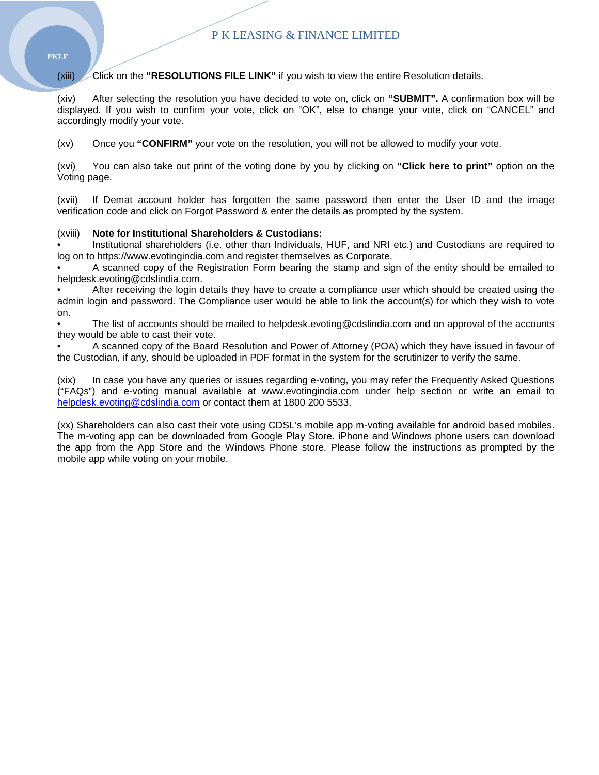(xiii) **Click on the "RESOLUTIONS FILE LINK"** if you wish to view the entire Resolution details.

(xiv) After selecting the resolution you have decided to vote on, click on **"SUBMIT".** A confirmation box will be displayed. If you wish to confirm your vote, click on "OK", else to change your vote, click on "CANCEL" and accordingly modify your vote.

(xv) Once you **"CONFIRM"** your vote on the resolution, you will not be allowed to modify your vote.

(xvi) You can also take out print of the voting done by you by clicking on **"Click here to print"** option on the Voting page.

(xvii) If Demat account holder has forgotten the same password then enter the User ID and the image verification code and click on Forgot Password & enter the details as prompted by the system.

#### (xviii) **Note for Institutional Shareholders & Custodians:**

• Institutional shareholders (i.e. other than Individuals, HUF, and NRI etc.) and Custodians are required to log on to https://www.evotingindia.com and register themselves as Corporate.

• A scanned copy of the Registration Form bearing the stamp and sign of the entity should be emailed to helpdesk.evoting@cdslindia.com.

• After receiving the login details they have to create a compliance user which should be created using the admin login and password. The Compliance user would be able to link the account(s) for which they wish to vote on.

• The list of accounts should be mailed to helpdesk.evoting@cdslindia.com and on approval of the accounts they would be able to cast their vote.

• A scanned copy of the Board Resolution and Power of Attorney (POA) which they have issued in favour of the Custodian, if any, should be uploaded in PDF format in the system for the scrutinizer to verify the same.

(xix) In case you have any queries or issues regarding e-voting, you may refer the Frequently Asked Questions ("FAQs") and e-voting manual available at www.evotingindia.com under help section or write an email to [helpdesk.evoting@cdslindia.com](mailto:helpdesk.evoting@cdslindia.com) or contact them at 1800 200 5533.

(xx) Shareholders can also cast their vote using CDSL's mobile app m-voting available for android based mobiles. The m-voting app can be downloaded from Google Play Store. iPhone and Windows phone users can download the app from the App Store and the Windows Phone store. Please follow the instructions as prompted by the mobile app while voting on your mobile.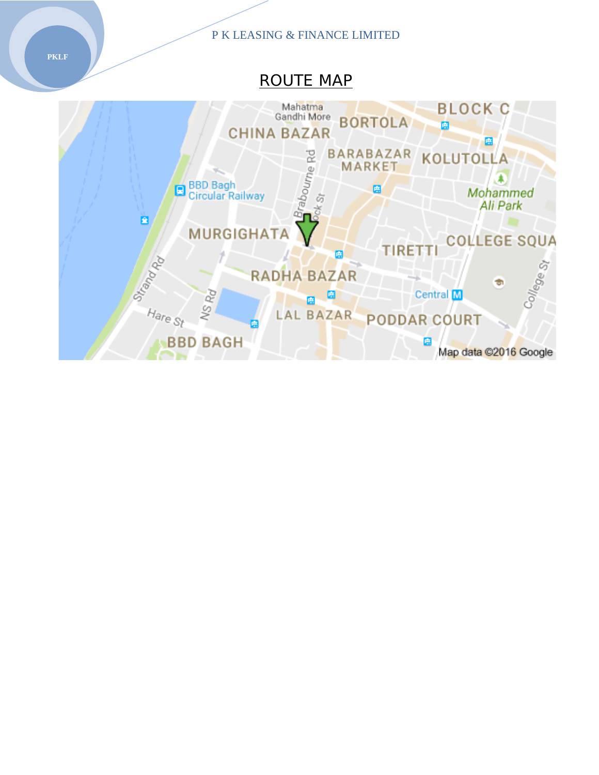# ROUTE MAP

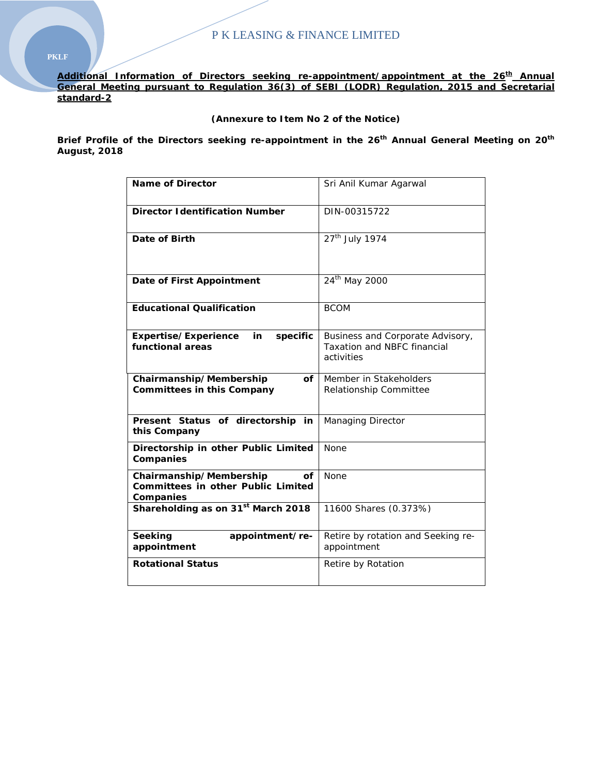Additional Information of Directors seeking re-appointment/appointment at the 26<sup>th</sup> Annual **General Meeting pursuant to Regulation 36(3) of SEBI (LODR) Regulation, 2015 and Secretarial standard-2**

# **(Annexure to Item No 2 of the Notice)**

**Brief Profile of the Directors seeking re-appointment in the 26th Annual General Meeting on 20th August, 2018**

| <b>Name of Director</b>                                                                 | Sri Anil Kumar Agarwal                                                               |
|-----------------------------------------------------------------------------------------|--------------------------------------------------------------------------------------|
| <b>Director Identification Number</b>                                                   | DIN-00315722                                                                         |
| Date of Birth                                                                           | $27th$ July 1974                                                                     |
| Date of First Appointment                                                               | 24 <sup>th</sup> May 2000                                                            |
| <b>Educational Qualification</b>                                                        | <b>BCOM</b>                                                                          |
| Expertise/Experience<br>specific<br>in<br>functional areas                              | Business and Corporate Advisory,<br><b>Taxation and NBFC financial</b><br>activities |
| Chairmanship/Membership<br>Οf<br><b>Committees in this Company</b>                      | Member in Stakeholders<br>Relationship Committee                                     |
| Present Status of directorship in<br>this Company                                       | <b>Managing Director</b>                                                             |
| Directorship in other Public Limited<br>Companies                                       | <b>None</b>                                                                          |
| Chairmanship/Membership<br>οf<br><b>Committees in other Public Limited</b><br>Companies | <b>None</b>                                                                          |
| Shareholding as on 31 <sup>st</sup> March 2018                                          | 11600 Shares (0.373%)                                                                |
| Seeking<br>appointment/re-<br>appointment                                               | Retire by rotation and Seeking re-<br>appointment                                    |
| <b>Rotational Status</b>                                                                | Retire by Rotation                                                                   |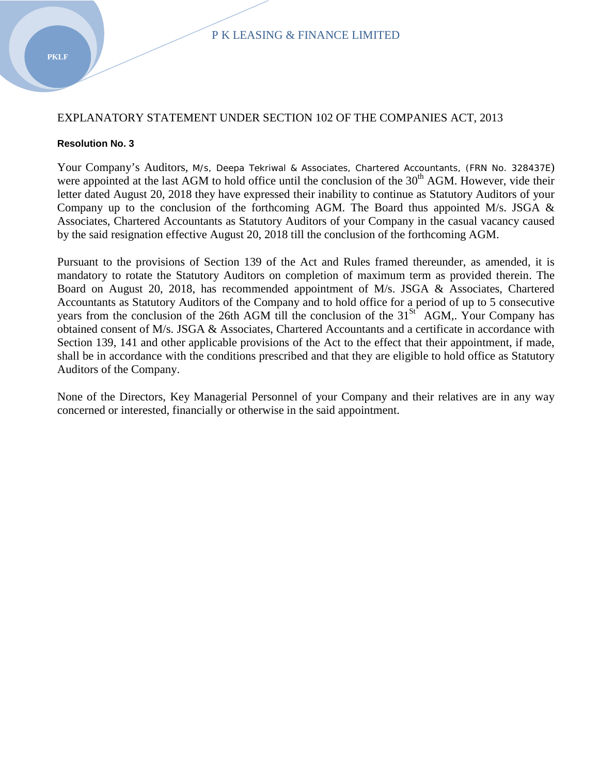# EXPLANATORY STATEMENT UNDER SECTION 102 OF THE COMPANIES ACT, 2013

# **Resolution No. 3**

Your Company's Auditors, M/s, Deepa Tekriwal & Associates, Chartered Accountants, (FRN No. 328437E) were appointed at the last AGM to hold office until the conclusion of the 30<sup>th</sup> AGM. However, vide their letter dated August 20, 2018 they have expressed their inability to continue as Statutory Auditors of your Company up to the conclusion of the forthcoming AGM. The Board thus appointed M/s. JSGA & Associates, Chartered Accountants as Statutory Auditors of your Company in the casual vacancy caused by the said resignation effective August 20, 2018 till the conclusion of the forthcoming AGM.

Pursuant to the provisions of Section 139 of the Act and Rules framed thereunder, as amended, it is mandatory to rotate the Statutory Auditors on completion of maximum term as provided therein. The Board on August 20, 2018, has recommended appointment of M/s. JSGA & Associates, Chartered Accountants as Statutory Auditors of the Company and to hold office for a period of up to 5 consecutive years from the conclusion of the 26th AGM till the conclusion of the  $31<sup>St</sup>$  AGM,. Your Company has obtained consent of M/s. JSGA & Associates, Chartered Accountants and a certificate in accordance with Section 139, 141 and other applicable provisions of the Act to the effect that their appointment, if made, shall be in accordance with the conditions prescribed and that they are eligible to hold office as Statutory Auditors of the Company.

None of the Directors, Key Managerial Personnel of your Company and their relatives are in any way concerned or interested, financially or otherwise in the said appointment.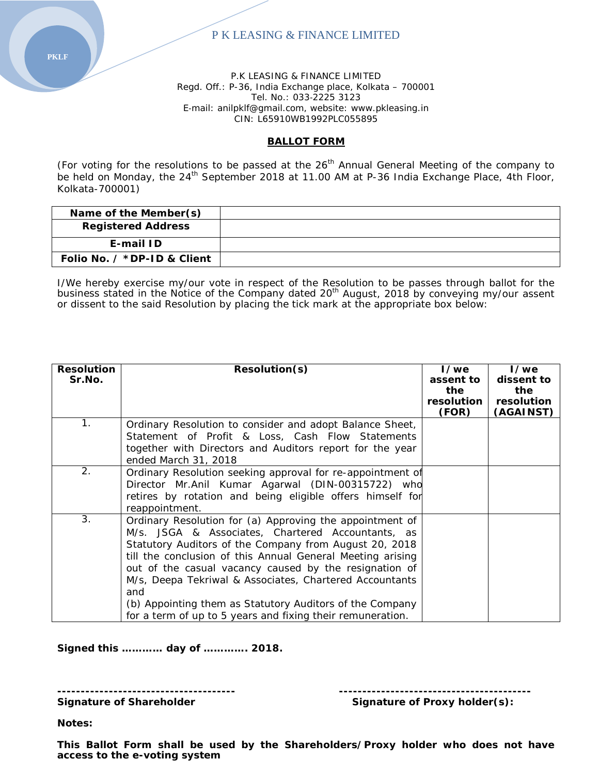P.K LEASING & FINANCE LIMITED Regd. Off.: P-36, India Exchange place, Kolkata – 700001 Tel. No.: 033‐2225 3123 E‐mail: anilpklf@gmail.com, website: www.pkleasing.in CIN: L65910WB1992PLC055895

# **BALLOT FORM**

(For voting for the resolutions to be passed at the 26<sup>th</sup> Annual General Meeting of the company to be held on Monday, the 24<sup>th</sup> September 2018 at 11.00 AM at P-36 India Exchange Place, 4th Floor, Kolkata-700001)

| Name of the Member(s)              |  |
|------------------------------------|--|
| <b>Registered Address</b>          |  |
| E-mail ID                          |  |
| Folio No. $\angle$ *DP-ID & Client |  |

I/We hereby exercise my/our vote in respect of the Resolution to be passes through ballot for the business stated in the Notice of the Company dated 20<sup>th</sup> August, 2018 by conveying my/our assent or dissent to the said Resolution by placing the tick mark at the appropriate box below:

| <b>Resolution</b> | Resolution(s)                                              | 1/we              | I/we              |
|-------------------|------------------------------------------------------------|-------------------|-------------------|
| Sr.No.            |                                                            | assent to<br>the  | dissent to<br>the |
|                   |                                                            | <b>resolution</b> | resolution        |
|                   |                                                            | (FOR)             | (AGAINST)         |
| 1.                | Ordinary Resolution to consider and adopt Balance Sheet,   |                   |                   |
|                   | Statement of Profit & Loss, Cash Flow Statements           |                   |                   |
|                   | together with Directors and Auditors report for the year   |                   |                   |
|                   | ended March 31, 2018                                       |                   |                   |
| 2.                | Ordinary Resolution seeking approval for re-appointment of |                   |                   |
|                   | Director Mr.Anil Kumar Agarwal (DIN-00315722) who          |                   |                   |
|                   | retires by rotation and being eligible offers himself for  |                   |                   |
|                   | reappointment.                                             |                   |                   |
| 3.                | Ordinary Resolution for (a) Approving the appointment of   |                   |                   |
|                   | M/s. JSGA & Associates, Chartered Accountants, as          |                   |                   |
|                   | Statutory Auditors of the Company from August 20, 2018     |                   |                   |
|                   | till the conclusion of this Annual General Meeting arising |                   |                   |
|                   | out of the casual vacancy caused by the resignation of     |                   |                   |
|                   | M/s, Deepa Tekriwal & Associates, Chartered Accountants    |                   |                   |
|                   | and                                                        |                   |                   |
|                   | (b) Appointing them as Statutory Auditors of the Company   |                   |                   |
|                   | for a term of up to 5 years and fixing their remuneration. |                   |                   |

**Signed this ………… day of …………. 2018.**

Signature of Shareholder **Signature of Proxy holder(s):** 

**Notes:**

**This Ballot Form shall be used by the Shareholders/Proxy holder who does not have access to the e-voting system**

**-------------------------------------- -----------------------------------------**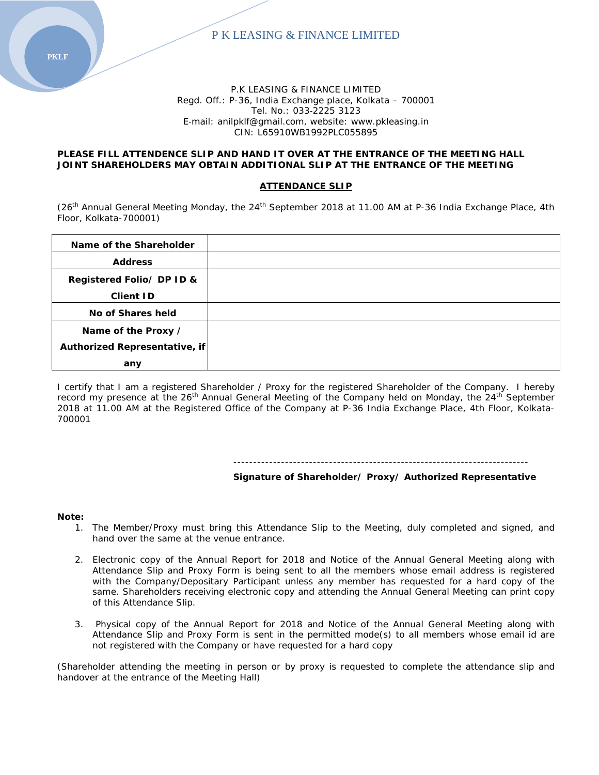

#### P.K LEASING & FINANCE LIMITED Regd. Off.: P-36, India Exchange place, Kolkata – 700001 Tel. No.: 033‐2225 3123 E‐mail: anilpklf@gmail.com, website: www.pkleasing.in CIN: L65910WB1992PLC055895

#### **PLEASE FILL ATTENDENCE SLIP AND HAND IT OVER AT THE ENTRANCE OF THE MEETING HALL JOINT SHAREHOLDERS MAY OBTAIN ADDITIONAL SLIP AT THE ENTRANCE OF THE MEETING**

#### **ATTENDANCE SLIP**

(26<sup>th</sup> Annual General Meeting Monday, the 24<sup>th</sup> September 2018 at 11.00 AM at P-36 India Exchange Place, 4th Floor, Kolkata-700001)

| Name of the Shareholder       |  |
|-------------------------------|--|
| <b>Address</b>                |  |
| Registered Folio/ DP ID &     |  |
| <b>Client ID</b>              |  |
| No of Shares held             |  |
| Name of the Proxy /           |  |
| Authorized Representative, if |  |
| any                           |  |

I certify that I am a registered Shareholder / Proxy for the registered Shareholder of the Company. I hereby record my presence at the 26<sup>th</sup> Annual General Meeting of the Company held on Monday, the 24<sup>th</sup> September 2018 at 11.00 AM at the Registered Office of the Company at P-36 India Exchange Place, 4th Floor, Kolkata-700001

#### --------------------------------------------------------------------------

**Signature of Shareholder/ Proxy/ Authorized Representative**

#### **Note:**

- 1. The Member/Proxy must bring this Attendance Slip to the Meeting, duly completed and signed, and hand over the same at the venue entrance.
- 2. Electronic copy of the Annual Report for 2018 and Notice of the Annual General Meeting along with Attendance Slip and Proxy Form is being sent to all the members whose email address is registered with the Company/Depositary Participant unless any member has requested for a hard copy of the same. Shareholders receiving electronic copy and attending the Annual General Meeting can print copy of this Attendance Slip.
- 3. Physical copy of the Annual Report for 2018 and Notice of the Annual General Meeting along with Attendance Slip and Proxy Form is sent in the permitted mode(s) to all members whose email id are not registered with the Company or have requested for a hard copy

(Shareholder attending the meeting in person or by proxy is requested to complete the attendance slip and handover at the entrance of the Meeting Hall)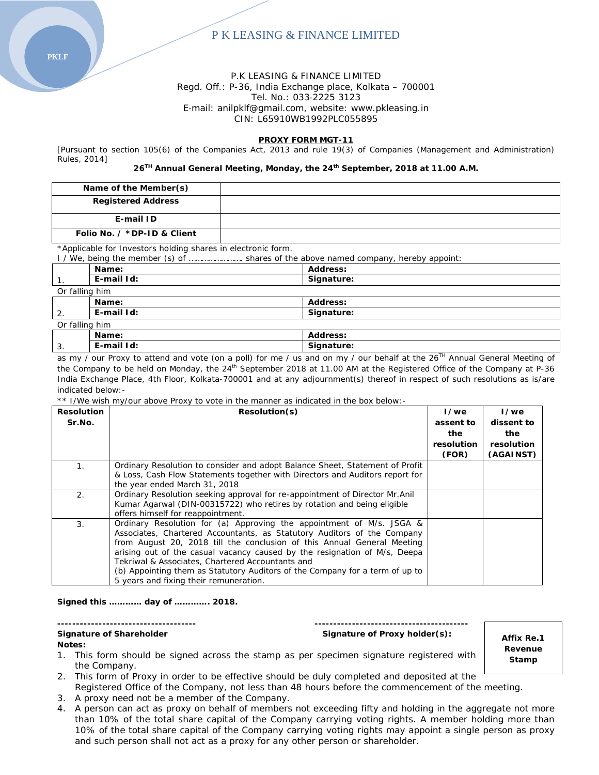Regd. Off.: P-36, India Exchange place, Kolkata – 700001 Tel. No.: 033‐2225 3123

E‐mail: anilpklf@gmail.com, website: www.pkleasing.in

CIN: L65910WB1992PLC055895

#### **PROXY FORM MGT-11**

[Pursuant to section 105(6) of the Companies Act, 2013 and rule 19(3) of Companies (Management and Administration) Rules, 2014]

**26TH Annual General Meeting, Monday, the 24th September, 2018 at 11.00 A.M.**

| Name of the Member(s)       |  |
|-----------------------------|--|
| <b>Registered Address</b>   |  |
| E-mail ID                   |  |
| Folio No. / *DP-ID & Client |  |

*\*Applicable for Investors holding shares in electronic form.*

I / We, being the member (s) of ……………………. shares of the above named company, hereby appoint:

|                | Name:          | Address:   |  |
|----------------|----------------|------------|--|
| $\mathbf{1}$ . | E-mail Id:     | Signature: |  |
|                | Or falling him |            |  |
|                | Name:          | Address:   |  |
| 2.             | E-mail Id:     | Signature: |  |
|                | Or falling him |            |  |
|                | Name:          | Address:   |  |
| 3.             | E-mail Id:     | Signature: |  |

as my / our Proxy to attend and vote (on a poll) for me / us and on my / our behalf at the  $26^{Th}$  Annual General Meeting of the Company to be held on Monday, the 24<sup>th</sup> September 2018 at 11.00 AM at the Registered Office of the Company at P-36 India Exchange Place, 4th Floor, Kolkata-700001 and at any adjournment(s) thereof in respect of such resolutions as is/are indicated below:-

\*\* I/We wish my/our above Proxy to vote in the manner as indicated in the box below:-

| <b>Resolution</b> | Resolution(s)                                                                | I/we       | I/we       |
|-------------------|------------------------------------------------------------------------------|------------|------------|
| Sr.No.            |                                                                              | assent to  | dissent to |
|                   |                                                                              | the        | the        |
|                   |                                                                              | resolution | resolution |
|                   |                                                                              | (FOR)      | (AGAINST)  |
| $\mathbf{1}$ .    | Ordinary Resolution to consider and adopt Balance Sheet, Statement of Profit |            |            |
|                   | & Loss, Cash Flow Statements together with Directors and Auditors report for |            |            |
|                   | the year ended March 31, 2018                                                |            |            |
| 2.                | Ordinary Resolution seeking approval for re-appointment of Director Mr.Anil  |            |            |
|                   | Kumar Agarwal (DIN-00315722) who retires by rotation and being eligible      |            |            |
|                   | offers himself for reappointment.                                            |            |            |
| 3.                | Ordinary Resolution for (a) Approving the appointment of M/s. JSGA &         |            |            |
|                   | Associates, Chartered Accountants, as Statutory Auditors of the Company      |            |            |
|                   | from August 20, 2018 till the conclusion of this Annual General Meeting      |            |            |
|                   | arising out of the casual vacancy caused by the resignation of M/s, Deepa    |            |            |
|                   | Tekriwal & Associates, Chartered Accountants and                             |            |            |
|                   | (b) Appointing them as Statutory Auditors of the Company for a term of up to |            |            |
|                   | 5 years and fixing their remuneration.                                       |            |            |

**Signed this ………… day of …………. 2018.**

#### **------------------------------------- -----------------------------------------**

#### Signature of Shareholder **Signature of Proxy holder(s):** Signature of Proxy holder(s): **Notes:**

**Affix Re.1 Revenue Stamp**

- 1. This form should be signed across the stamp as per specimen signature registered with the Company.
- 2. This form of Proxy in order to be effective should be duly completed and deposited at the
- Registered Office of the Company, not less than 48 hours before the commencement of the meeting.
- 3. A proxy need not be a member of the Company.
- 4. A person can act as proxy on behalf of members not exceeding fifty and holding in the aggregate not more than 10% of the total share capital of the Company carrying voting rights. A member holding more than 10% of the total share capital of the Company carrying voting rights may appoint a single person as proxy and such person shall not act as a proxy for any other person or shareholder.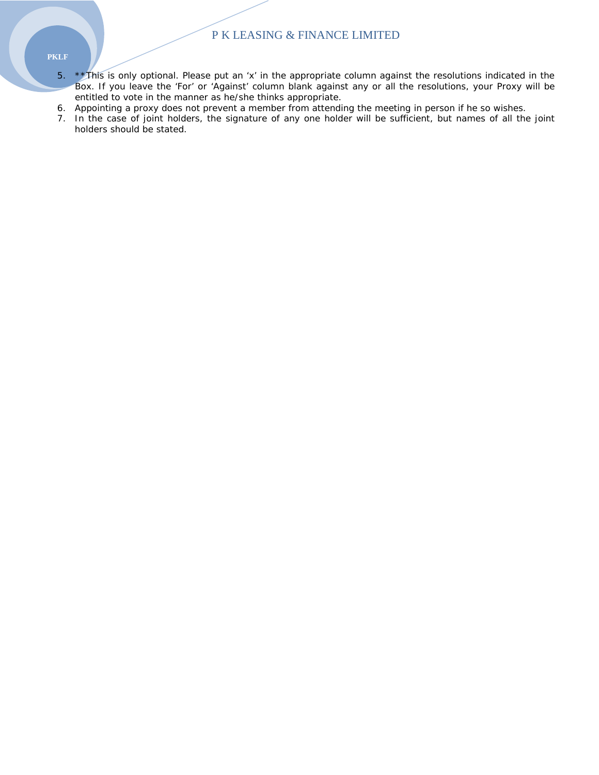- **PKLF**
	- 5. \*\*This is only optional. Please put an 'x' in the appropriate column against the resolutions indicated in the Box. If you leave the 'For' or 'Against' column blank against any or all the resolutions, your Proxy will be entitled to vote in the manner as he/she thinks appropriate.
	- 6. Appointing a proxy does not prevent a member from attending the meeting in person if he so wishes.
	- 7. In the case of joint holders, the signature of any one holder will be sufficient, but names of all the joint holders should be stated.